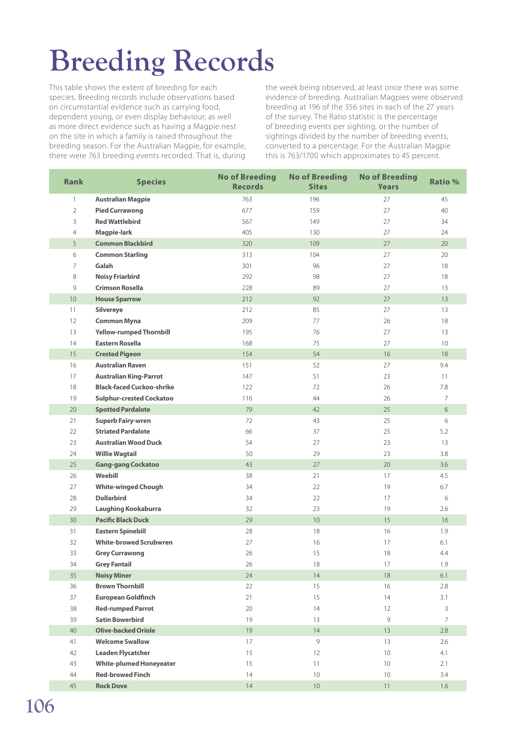## **Breeding Records**

This table shows the extent of breeding for each species. Breeding records include observations based on circumstantial evidence such as carrying food, dependent young, or even display behaviour, as well as more direct evidence such as having a Magpie nest on the site in which a family is raised throughout the breeding season. For the Australian Magpie, for example, there were 763 breeding events recorded. That is, during

the week being observed, at least once there was some evidence of breeding. Australian Magpies were observed breeding at 196 of the 356 sites in each of the 27 years of the survey. The Ratio statistic is the percentage of breeding events per sighting, or the number of sightings divided by the number of breeding events, converted to a percentage. For the Australian Magpie this is 763/1700 which approximates to 45 percent.

| <b>Rank</b>    | <b>Species</b>                   | <b>No of Breeding</b><br><b>Records</b> | <b>No of Breeding</b><br><b>Sites</b> | <b>No of Breeding</b><br><b>Years</b> | <b>Ratio %</b>  |
|----------------|----------------------------------|-----------------------------------------|---------------------------------------|---------------------------------------|-----------------|
| $\mathbf{1}$   | <b>Australian Magpie</b>         | 763                                     | 196                                   | 27                                    | 45              |
| $\overline{2}$ | <b>Pied Currawong</b>            | 677                                     | 159                                   | 27                                    | 40              |
| 3              | <b>Red Wattlebird</b>            | 567                                     | 149                                   | 27                                    | 34              |
| 4              | Magpie-lark                      | 405                                     | 130                                   | 27                                    | 24              |
| 5              | <b>Common Blackbird</b>          | 320                                     | 109                                   | 27                                    | 20              |
| 6              | <b>Common Starling</b>           | 313                                     | 104                                   | 27                                    | 20              |
| $\overline{7}$ | Galah                            | 301                                     | 96                                    | 27                                    | 18              |
| 8              | <b>Noisy Friarbird</b>           | 292                                     | 98                                    | 27                                    | 18              |
| 9              | <b>Crimson Rosella</b>           | 228                                     | 89                                    | 27                                    | 13              |
| 10             | <b>House Sparrow</b>             | 212                                     | 92                                    | 27                                    | 13              |
| 11             | <b>Silvereye</b>                 | 212                                     | 85                                    | 27                                    | 13              |
| 12             | <b>Common Myna</b>               | 209                                     | 77                                    | 26                                    | 18              |
| 13             | <b>Yellow-rumped Thornbill</b>   | 195                                     | 76                                    | 27                                    | 13              |
| 14             | <b>Eastern Rosella</b>           | 168                                     | 75                                    | 27                                    | 10 <sup>°</sup> |
| 15             | <b>Crested Pigeon</b>            | 154                                     | 54                                    | 16                                    | 18              |
| 16             | <b>Australian Raven</b>          | 151                                     | 52                                    | 27                                    | 9.4             |
| 17             | <b>Australian King-Parrot</b>    | 147                                     | 51                                    | 23                                    | 11              |
| 18             | <b>Black-faced Cuckoo-shrike</b> | 122                                     | 72                                    | 26                                    | 7.8             |
| 19             | <b>Sulphur-crested Cockatoo</b>  | 116                                     | 44                                    | 26                                    | $\overline{7}$  |
| 20             | <b>Spotted Pardalote</b>         | 79                                      | 42                                    | 25                                    | 6               |
| 21             | <b>Superb Fairy-wren</b>         | 72                                      | 43                                    | 25                                    | 6               |
| 22             | <b>Striated Pardalote</b>        | 66                                      | 37                                    | 25                                    | 5.2             |
| 23             | <b>Australian Wood Duck</b>      | 54                                      | 27                                    | 23                                    | 13              |
| 24             | <b>Willie Wagtail</b>            | 50                                      | 29                                    | 23                                    | 3.8             |
| 25             | <b>Gang-gang Cockatoo</b>        | 43                                      | 27                                    | 20                                    | 3.6             |
| 26             | Weebill                          | 38                                      | 21                                    | 17                                    | 4.5             |
| 27             | <b>White-winged Chough</b>       | 34                                      | 22                                    | 19                                    | 6.7             |
| 28             | <b>Dollarbird</b>                | 34                                      | 22                                    | 17                                    | 6               |
| 29             | <b>Laughing Kookaburra</b>       | 32                                      | 23                                    | 19                                    | 2.6             |
| 30             | <b>Pacific Black Duck</b>        | 29                                      | 10 <sup>°</sup>                       | 15                                    | 16              |
| 31             | <b>Eastern Spinebill</b>         | 28                                      | 18                                    | 16                                    | 1.9             |
| 32             | <b>White-browed Scrubwren</b>    | 27                                      | 16                                    | 17                                    | 6.1             |
| 33             | <b>Grey Currawong</b>            | 26                                      | 15                                    | 18                                    | 4.4             |
| 34             | <b>Grey Fantail</b>              | 26                                      | 18                                    | 17                                    | 1.9             |
| 35             | <b>Noisy Miner</b>               | 24                                      | $14\,$                                | 18                                    | 6.1             |
| 36             | <b>Brown Thornbill</b>           | 22                                      | 15                                    | 16                                    | 2.8             |
| 37             | <b>European Goldfinch</b>        | 21                                      | 15                                    | 14                                    | 3.1             |
| 38             | <b>Red-rumped Parrot</b>         | 20                                      | 14                                    | 12                                    | 3               |
| 39             | <b>Satin Bowerbird</b>           | 19                                      | 13                                    | 9                                     | $7^{\circ}$     |
| 40             | <b>Olive-backed Oriole</b>       | 19                                      | 14                                    | 13                                    | 2.8             |
| 41             | <b>Welcome Swallow</b>           | 17                                      | 9                                     | 13                                    | 2.6             |
| 42             | <b>Leaden Flycatcher</b>         | 15                                      | 12                                    | 10                                    | 4.1             |
| 43             | <b>White-plumed Honeyeater</b>   | 15                                      | 11                                    | 10                                    | 2.1             |
| 44             | <b>Red-browed Finch</b>          | 14                                      | $10$                                  | 10                                    | 3.4             |
| 45             | <b>Rock Dove</b>                 | 14                                      | $10$                                  | 11                                    | 1.6             |